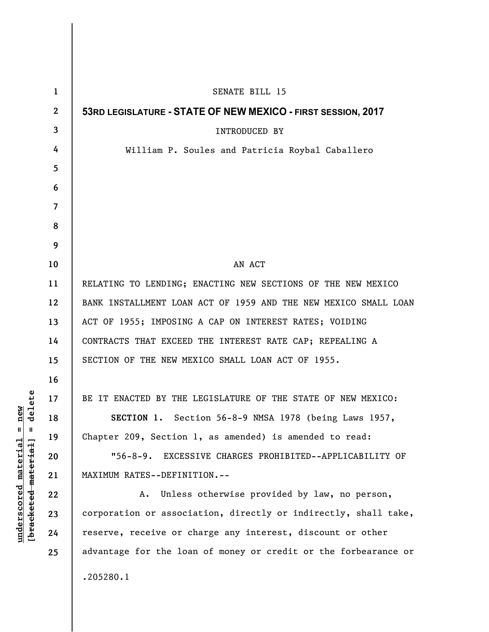| $\mathbf{1}$ | SENATE BILL 15                                                  |
|--------------|-----------------------------------------------------------------|
| $\mathbf{2}$ | 53RD LEGISLATURE - STATE OF NEW MEXICO - FIRST SESSION, 2017    |
| 3            | INTRODUCED BY                                                   |
| 4            | William P. Soules and Patricia Roybal Caballero                 |
| 5            |                                                                 |
| 6            |                                                                 |
| 7            |                                                                 |
| 8            |                                                                 |
| 9            |                                                                 |
| 10           | AN ACT                                                          |
| 11           | RELATING TO LENDING; ENACTING NEW SECTIONS OF THE NEW MEXICO    |
| 12           | BANK INSTALLMENT LOAN ACT OF 1959 AND THE NEW MEXICO SMALL LOAN |
| 13           | ACT OF 1955; IMPOSING A CAP ON INTEREST RATES; VOIDING          |
| 14           | CONTRACTS THAT EXCEED THE INTEREST RATE CAP; REPEALING A        |
| 15           | SECTION OF THE NEW MEXICO SMALL LOAN ACT OF 1955.               |
| 16           |                                                                 |
| 17           | BE IT ENACTED BY THE LEGISLATURE OF THE STATE OF NEW MEXICO:    |
| 18           | SECTION 1. Section 56-8-9 NMSA 1978 (being Laws 1957,           |
| 19           | Chapter 209, Section 1, as amended) is amended to read:         |
| 20           | "56-8-9. EXCESSIVE CHARGES PROHIBITED--APPLICABILITY OF         |
| 21           | MAXIMUM RATES--DEFINITION.--                                    |
| 22           | Unless otherwise provided by law, no person,<br>А.              |
| 23           | corporation or association, directly or indirectly, shall take, |
| 24           | reserve, receive or charge any interest, discount or other      |
| 25           | advantage for the loan of money or credit or the forbearance or |
|              | .205280.1                                                       |

 $[**bracket eted metert et**] = **del et e**$ **[bracketed material] = delete**  $underscored material = new$ **underscored material = new**

 $\overline{\phantom{a}}$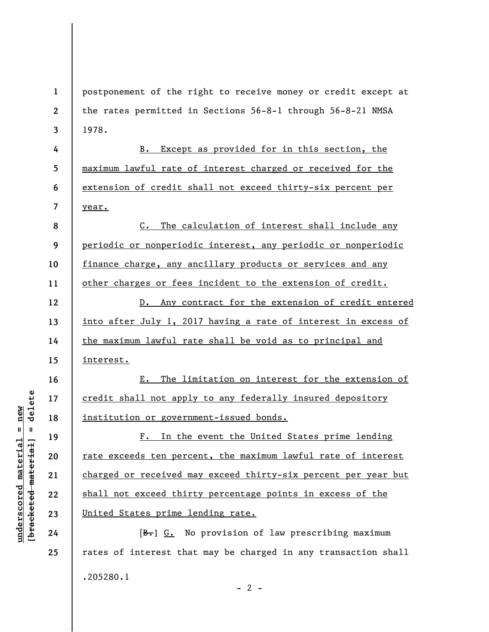**1 2 3**  postponement of the right to receive money or credit except at the rates permitted in Sections 56-8-1 through 56-8-21 NMSA 1978.

B. Except as provided for in this section, the maximum lawful rate of interest charged or received for the extension of credit shall not exceed thirty-six percent per year.

**8 9 10 11**  C. The calculation of interest shall include any periodic or nonperiodic interest, any periodic or nonperiodic finance charge, any ancillary products or services and any other charges or fees incident to the extension of credit.

**12 13 14 15**  D. Any contract for the extension of credit entered into after July 1, 2017 having a rate of interest in excess of the maximum lawful rate shall be void as to principal and interest.

E. The limitation on interest for the extension of credit shall not apply to any federally insured depository institution or government-issued bonds.

F. In the event the United States prime lending rate exceeds ten percent, the maximum lawful rate of interest charged or received may exceed thirty-six percent per year but shall not exceed thirty percentage points in excess of the United States prime lending rate.

 $[B<sub>1</sub>]$  G. No provision of law prescribing maximum rates of interest that may be charged in any transaction shall .205280.1  $- 2 -$ 

 $\frac{1}{2}$  intereted material = delete **[bracketed material] = delete**  $anderscored material = new$ **underscored material = new**

**4** 

**5** 

**6** 

**7** 

**16** 

**17** 

**18** 

**19** 

**20** 

**21** 

**22** 

**23** 

**24**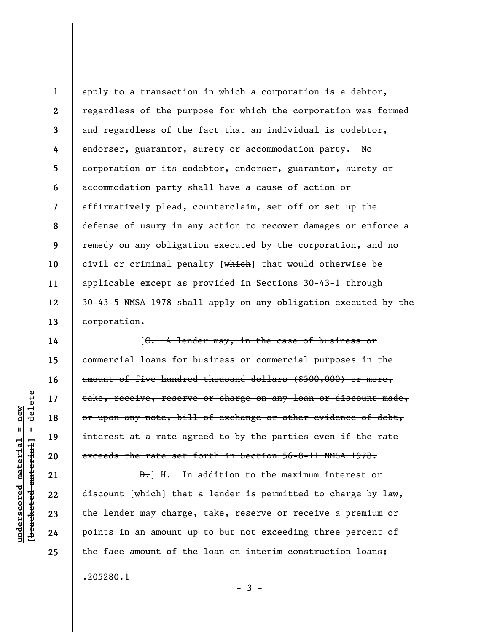**1 2 3 4 5 6 7 8 9 10 11 12 13**  apply to a transaction in which a corporation is a debtor, regardless of the purpose for which the corporation was formed and regardless of the fact that an individual is codebtor, endorser, guarantor, surety or accommodation party. No corporation or its codebtor, endorser, guarantor, surety or accommodation party shall have a cause of action or affirmatively plead, counterclaim, set off or set up the defense of usury in any action to recover damages or enforce a remedy on any obligation executed by the corporation, and no civil or criminal penalty [which] that would otherwise be applicable except as provided in Sections 30-43-1 through 30-43-5 NMSA 1978 shall apply on any obligation executed by the corporation.

[C. A lender may, in the case of business or commercial loans for business or commercial purposes in the amount of five hundred thousand dollars (\$500,000) or more, take, receive, reserve or charge on any loan or discount made, or upon any note, bill of exchange or other evidence of debt, interest at a rate agreed to by the parties even if the rate exceeds the rate set forth in Section 56-8-11 NMSA 1978.

D.] H. In addition to the maximum interest or discount [which] that a lender is permitted to charge by law, the lender may charge, take, reserve or receive a premium or points in an amount up to but not exceeding three percent of the face amount of the loan on interim construction loans; .205280.1

delete **[bracketed material] = delete**  $underscored material = new$ **underscored material = new**  $\mathbf{I}$ bracketed material

**14** 

**15** 

**16** 

**17** 

**18** 

**19** 

**20** 

**21** 

**22** 

**23** 

**24** 

**25** 

 $-3 -$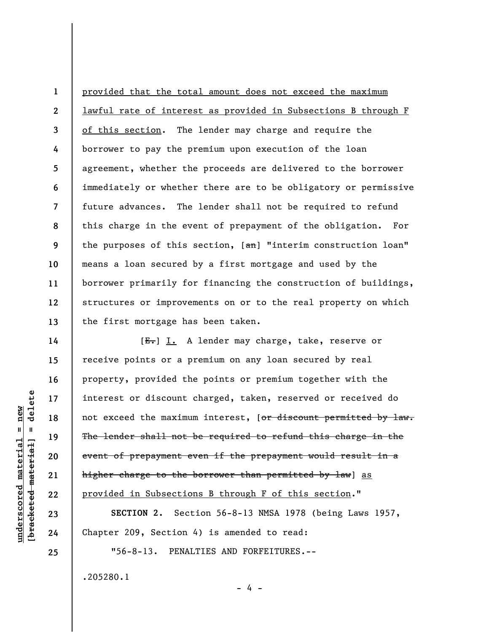**1 2 3 4 5 6 7 8 9 10 11 12 13**  provided that the total amount does not exceed the maximum lawful rate of interest as provided in Subsections B through F of this section. The lender may charge and require the borrower to pay the premium upon execution of the loan agreement, whether the proceeds are delivered to the borrower immediately or whether there are to be obligatory or permissive future advances. The lender shall not be required to refund this charge in the event of prepayment of the obligation. For the purposes of this section,  $[ $\theta$ )]$  "interim construction loan" means a loan secured by a first mortgage and used by the borrower primarily for financing the construction of buildings, structures or improvements on or to the real property on which the first mortgage has been taken.

[E.] I. A lender may charge, take, reserve or receive points or a premium on any loan secured by real property, provided the points or premium together with the interest or discount charged, taken, reserved or received do not exceed the maximum interest, [or discount permitted by law. The lender shall not be required to refund this charge in the event of prepayment even if the prepayment would result in a higher charge to the borrower than permitted by law] as provided in Subsections B through F of this section."

**SECTION 2.** Section 56-8-13 NMSA 1978 (being Laws 1957, Chapter 209, Section 4) is amended to read:

- 4 -

"56-8-13. PENALTIES AND FORFEITURES.--

.205280.1

delete **[bracketed material] = delete**  $anderscored material = new$ **underscored material = new**  $\mathbf{I}$ bracketed material

**14** 

**15** 

**16** 

**17** 

**18** 

**19** 

**20** 

**21** 

**22** 

**23** 

**24**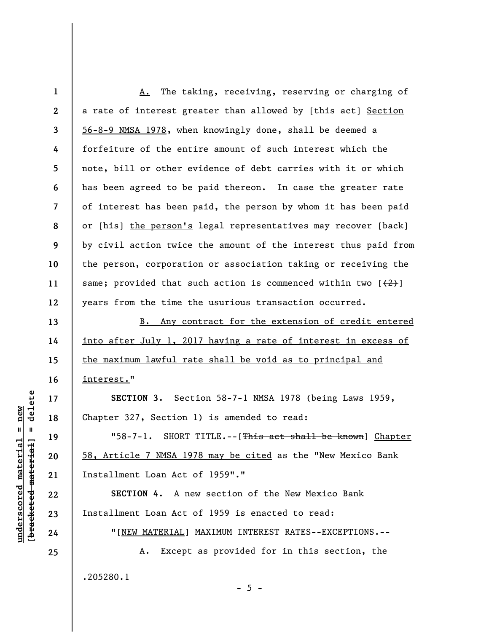**1 2 3 4 5 6 7 8 9 10 11 12**  A. The taking, receiving, reserving or charging of a rate of interest greater than allowed by [this act] Section 56-8-9 NMSA 1978, when knowingly done, shall be deemed a forfeiture of the entire amount of such interest which the note, bill or other evidence of debt carries with it or which has been agreed to be paid thereon. In case the greater rate of interest has been paid, the person by whom it has been paid or [his] the person's legal representatives may recover [back] by civil action twice the amount of the interest thus paid from the person, corporation or association taking or receiving the same; provided that such action is commenced within two  $[2]$ years from the time the usurious transaction occurred.

B. Any contract for the extension of credit entered into after July 1, 2017 having a rate of interest in excess of the maximum lawful rate shall be void as to principal and interest."

**SECTION 3.** Section 58-7-1 NMSA 1978 (being Laws 1959, Chapter 327, Section 1) is amended to read:

"58-7-1. SHORT TITLE.--[This act shall be known] Chapter 58, Article 7 NMSA 1978 may be cited as the "New Mexico Bank Installment Loan Act of 1959"."

**SECTION 4.** A new section of the New Mexico Bank Installment Loan Act of 1959 is enacted to read:

"[NEW MATERIAL] MAXIMUM INTEREST RATES--EXCEPTIONS.--

 $- 5 -$ 

A. Except as provided for in this section, the .205280.1

delete **[bracketed material] = delete**  $underscored material = new$ **underscored material = new**  $\mathbf{I}$ bracketed material

**23 24** 

**13** 

**14** 

**15** 

**16** 

**17** 

**18** 

**19** 

**20** 

**21** 

**22**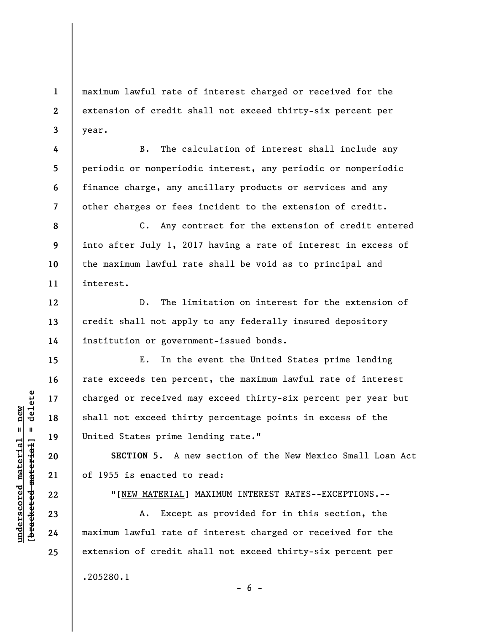maximum lawful rate of interest charged or received for the extension of credit shall not exceed thirty-six percent per year.

B. The calculation of interest shall include any periodic or nonperiodic interest, any periodic or nonperiodic finance charge, any ancillary products or services and any other charges or fees incident to the extension of credit.

**8 9 10 11**  C. Any contract for the extension of credit entered into after July 1, 2017 having a rate of interest in excess of the maximum lawful rate shall be void as to principal and interest.

D. The limitation on interest for the extension of credit shall not apply to any federally insured depository institution or government-issued bonds.

E. In the event the United States prime lending rate exceeds ten percent, the maximum lawful rate of interest charged or received may exceed thirty-six percent per year but shall not exceed thirty percentage points in excess of the United States prime lending rate."

**SECTION 5.** A new section of the New Mexico Small Loan Act of 1955 is enacted to read:

"[NEW MATERIAL] MAXIMUM INTEREST RATES--EXCEPTIONS.--

 $- 6 -$ 

A. Except as provided for in this section, the maximum lawful rate of interest charged or received for the extension of credit shall not exceed thirty-six percent per .205280.1

**1** 

**2** 

**3** 

**4** 

**5** 

**6** 

**7** 

**12** 

**13** 

**14** 

**15** 

**16** 

**17** 

**18** 

**19** 

**20** 

**21** 

**22** 

**23** 

**24**